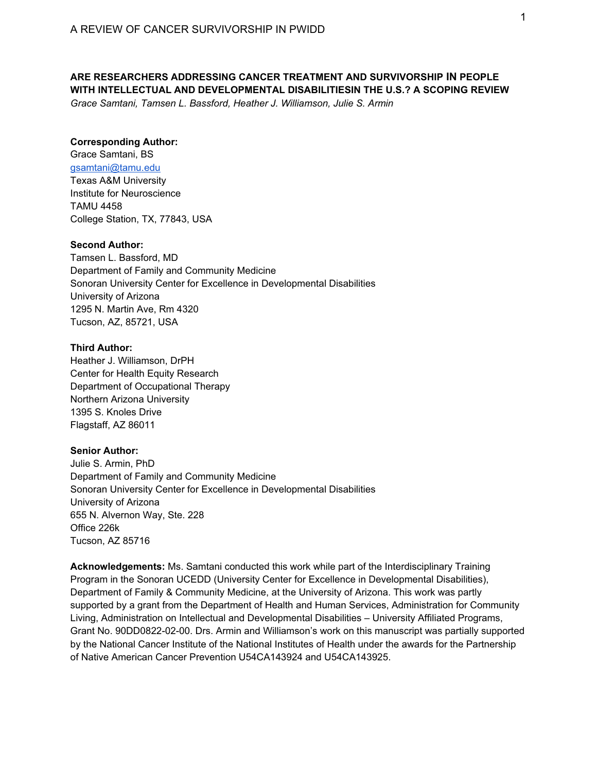# **ARE RESEARCHERS ADDRESSING CANCER TREATMENT AND SURVIVORSHIP IN PEOPLE WITH INTELLECTUAL AND DEVELOPMENTAL DISABILITIESIN THE U.S.? A SCOPING REVIEW**

*Grace Samtani, Tamsen L. Bassford, Heather J. Williamson, Julie S. Armin* 

#### **Corresponding Author:**

Grace Samtani, BS gsamtani@tamu.edu Texas A&M University Institute for Neuroscience TAMU 4458 College Station, TX, 77843, USA

#### **Second Author:**

Tamsen L. Bassford, MD Department of Family and Community Medicine Sonoran University Center for Excellence in Developmental Disabilities University of Arizona 1295 N. Martin Ave, Rm 4320 Tucson, AZ, 85721, USA

#### **Third Author:**

Heather J. Williamson, DrPH Center for Health Equity Research Department of Occupational Therapy Northern Arizona University 1395 S. Knoles Drive Flagstaff, AZ 86011

#### **Senior Author:**

Julie S. Armin, PhD Department of Family and Community Medicine Sonoran University Center for Excellence in Developmental Disabilities University of Arizona 655 N. Alvernon Way, Ste. 228 Office 226k Tucson, AZ 85716

**Acknowledgements:** Ms. Samtani conducted this work while part of the Interdisciplinary Training Program in the Sonoran UCEDD (University Center for Excellence in Developmental Disabilities), Department of Family & Community Medicine, at the University of Arizona. This work was partly supported by a grant from the Department of Health and Human Services, Administration for Community Living, Administration on Intellectual and Developmental Disabilities – University Affiliated Programs, Grant No. 90DD0822-02-00. Drs. Armin and Williamson's work on this manuscript was partially supported by the National Cancer Institute of the National Institutes of Health under the awards for the Partnership of Native American Cancer Prevention U54CA143924 and U54CA143925.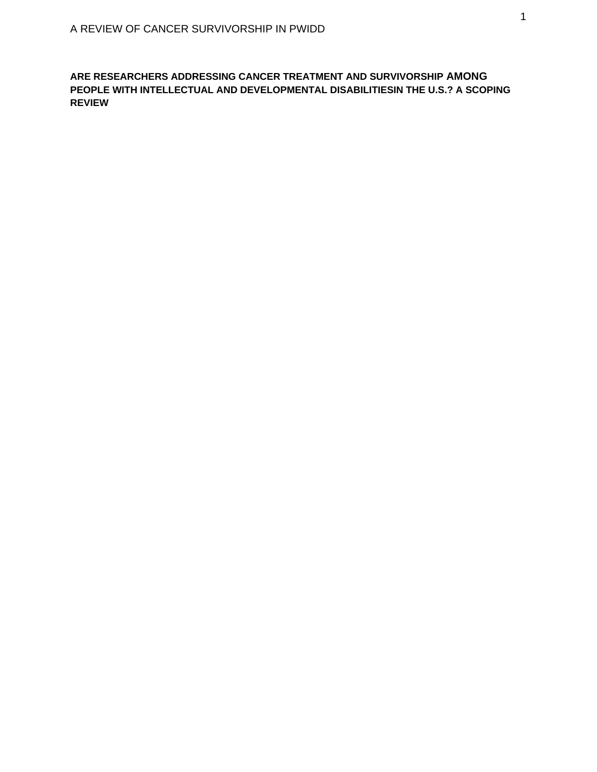**ARE RESEARCHERS ADDRESSING CANCER TREATMENT AND SURVIVORSHIP AMONG PEOPLE WITH INTELLECTUAL AND DEVELOPMENTAL DISABILITIESIN THE U.S.? A SCOPING REVIEW**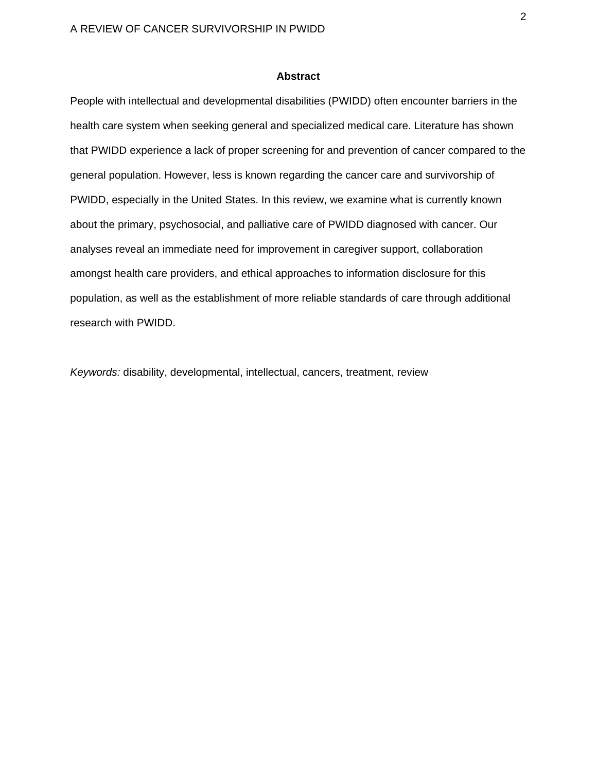## **Abstract**

People with intellectual and developmental disabilities (PWIDD) often encounter barriers in the health care system when seeking general and specialized medical care. Literature has shown that PWIDD experience a lack of proper screening for and prevention of cancer compared to the general population. However, less is known regarding the cancer care and survivorship of PWIDD, especially in the United States. In this review, we examine what is currently known about the primary, psychosocial, and palliative care of PWIDD diagnosed with cancer. Our analyses reveal an immediate need for improvement in caregiver support, collaboration amongst health care providers, and ethical approaches to information disclosure for this population, as well as the establishment of more reliable standards of care through additional research with PWIDD.

*Keywords:* disability, developmental, intellectual, cancers, treatment, review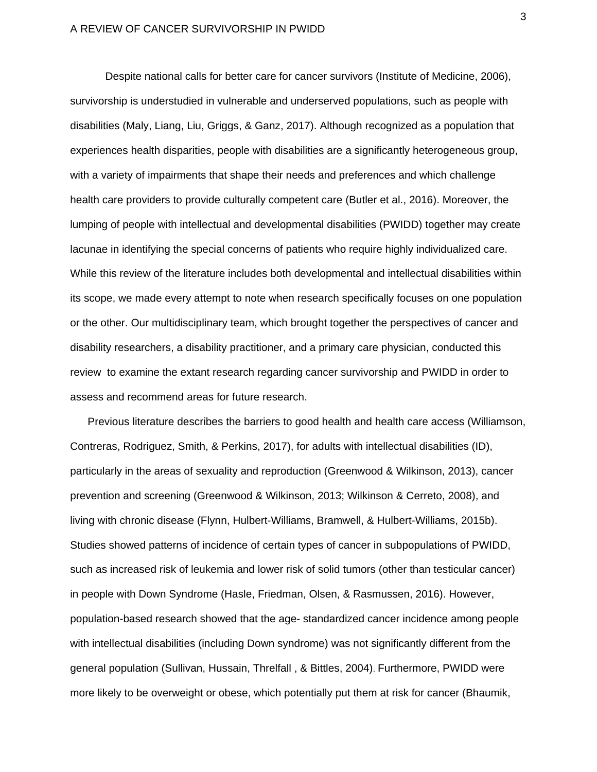Despite national calls for better care for cancer survivors (Institute of Medicine, 2006), survivorship is understudied in vulnerable and underserved populations, such as people with disabilities (Maly, Liang, Liu, Griggs, & Ganz, 2017). Although recognized as a population that experiences health disparities, people with disabilities are a significantly heterogeneous group, with a variety of impairments that shape their needs and preferences and which challenge health care providers to provide culturally competent care (Butler et al., 2016). Moreover, the lumping of people with intellectual and developmental disabilities (PWIDD) together may create lacunae in identifying the special concerns of patients who require highly individualized care. While this review of the literature includes both developmental and intellectual disabilities within its scope, we made every attempt to note when research specifically focuses on one population or the other. Our multidisciplinary team, which brought together the perspectives of cancer and disability researchers, a disability practitioner, and a primary care physician, conducted this review to examine the extant research regarding cancer survivorship and PWIDD in order to assess and recommend areas for future research.

Previous literature describes the barriers to good health and health care access (Williamson, Contreras, Rodriguez, Smith, & Perkins, 2017), for adults with intellectual disabilities (ID), particularly in the areas of sexuality and reproduction (Greenwood & Wilkinson, 2013), cancer prevention and screening (Greenwood & Wilkinson, 2013; Wilkinson & Cerreto, 2008), and living with chronic disease (Flynn, Hulbert-Williams, Bramwell, & Hulbert-Williams, 2015b). Studies showed patterns of incidence of certain types of cancer in subpopulations of PWIDD, such as increased risk of leukemia and lower risk of solid tumors (other than testicular cancer) in people with Down Syndrome (Hasle, Friedman, Olsen, & Rasmussen, 2016). However, population-based research showed that the age- standardized cancer incidence among people with intellectual disabilities (including Down syndrome) was not significantly different from the general population (Sullivan, Hussain, Threlfall , & Bittles, 2004). Furthermore, PWIDD were more likely to be overweight or obese, which potentially put them at risk for cancer (Bhaumik,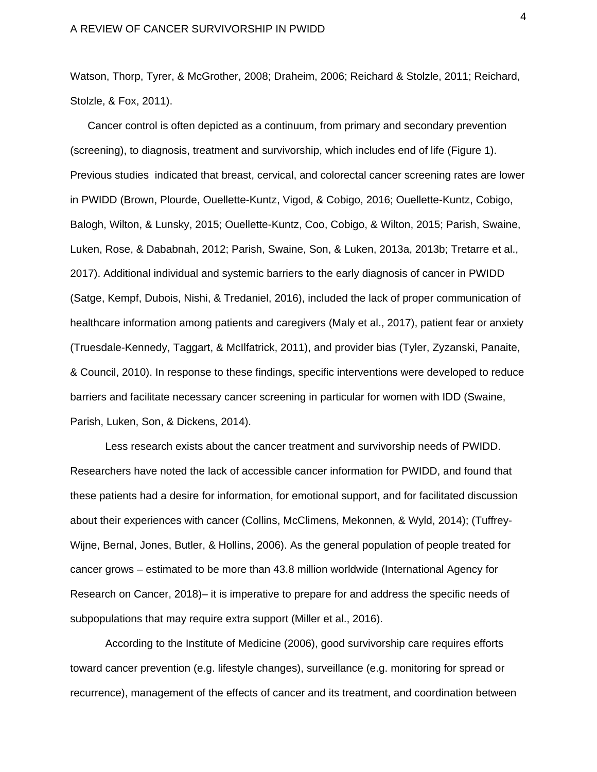Watson, Thorp, Tyrer, & McGrother, 2008; Draheim, 2006; Reichard & Stolzle, 2011; Reichard, Stolzle, & Fox, 2011).

Cancer control is often depicted as a continuum, from primary and secondary prevention (screening), to diagnosis, treatment and survivorship, which includes end of life (Figure 1). Previous studies indicated that breast, cervical, and colorectal cancer screening rates are lower in PWIDD (Brown, Plourde, Ouellette-Kuntz, Vigod, & Cobigo, 2016; Ouellette-Kuntz, Cobigo, Balogh, Wilton, & Lunsky, 2015; Ouellette-Kuntz, Coo, Cobigo, & Wilton, 2015; Parish, Swaine, Luken, Rose, & Dababnah, 2012; Parish, Swaine, Son, & Luken, 2013a, 2013b; Tretarre et al., 2017). Additional individual and systemic barriers to the early diagnosis of cancer in PWIDD (Satge, Kempf, Dubois, Nishi, & Tredaniel, 2016), included the lack of proper communication of healthcare information among patients and caregivers (Maly et al., 2017), patient fear or anxiety (Truesdale-Kennedy, Taggart, & McIlfatrick, 2011), and provider bias (Tyler, Zyzanski, Panaite, & Council, 2010). In response to these findings, specific interventions were developed to reduce barriers and facilitate necessary cancer screening in particular for women with IDD (Swaine, Parish, Luken, Son, & Dickens, 2014).

 Less research exists about the cancer treatment and survivorship needs of PWIDD. Researchers have noted the lack of accessible cancer information for PWIDD, and found that these patients had a desire for information, for emotional support, and for facilitated discussion about their experiences with cancer (Collins, McClimens, Mekonnen, & Wyld, 2014); (Tuffrey-Wijne, Bernal, Jones, Butler, & Hollins, 2006). As the general population of people treated for cancer grows – estimated to be more than 43.8 million worldwide (International Agency for Research on Cancer, 2018)– it is imperative to prepare for and address the specific needs of subpopulations that may require extra support (Miller et al., 2016).

According to the Institute of Medicine (2006), good survivorship care requires efforts toward cancer prevention (e.g. lifestyle changes), surveillance (e.g. monitoring for spread or recurrence), management of the effects of cancer and its treatment, and coordination between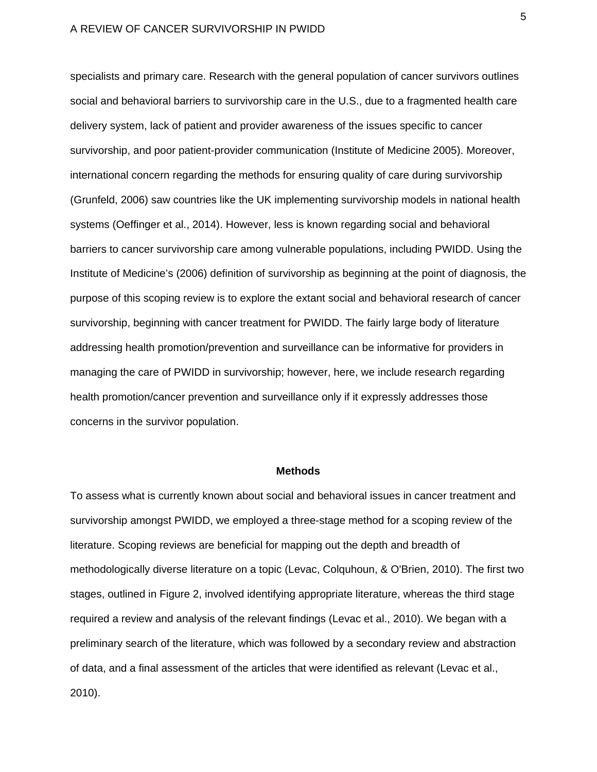specialists and primary care. Research with the general population of cancer survivors outlines social and behavioral barriers to survivorship care in the U.S., due to a fragmented health care delivery system, lack of patient and provider awareness of the issues specific to cancer survivorship, and poor patient-provider communication (Institute of Medicine 2005). Moreover, international concern regarding the methods for ensuring quality of care during survivorship (Grunfeld, 2006) saw countries like the UK implementing survivorship models in national health systems (Oeffinger et al., 2014). However, less is known regarding social and behavioral barriers to cancer survivorship care among vulnerable populations, including PWIDD. Using the Institute of Medicine's (2006) definition of survivorship as beginning at the point of diagnosis, the purpose of this scoping review is to explore the extant social and behavioral research of cancer survivorship, beginning with cancer treatment for PWIDD. The fairly large body of literature addressing health promotion/prevention and surveillance can be informative for providers in managing the care of PWIDD in survivorship; however, here, we include research regarding health promotion/cancer prevention and surveillance only if it expressly addresses those concerns in the survivor population.

#### **Methods**

To assess what is currently known about social and behavioral issues in cancer treatment and survivorship amongst PWIDD, we employed a three-stage method for a scoping review of the literature. Scoping reviews are beneficial for mapping out the depth and breadth of methodologically diverse literature on a topic (Levac, Colquhoun, & O'Brien, 2010). The first two stages, outlined in Figure 2, involved identifying appropriate literature, whereas the third stage required a review and analysis of the relevant findings (Levac et al., 2010). We began with a preliminary search of the literature, which was followed by a secondary review and abstraction of data, and a final assessment of the articles that were identified as relevant (Levac et al., 2010).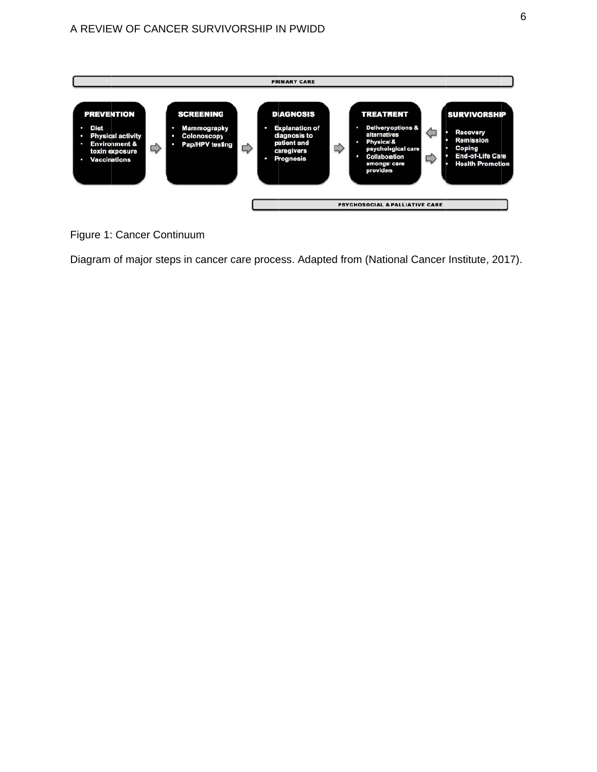

# Figure 1: Cancer Continuum

Diagram of major steps in cancer care process. Adapted from (National Cancer Institute, 2017).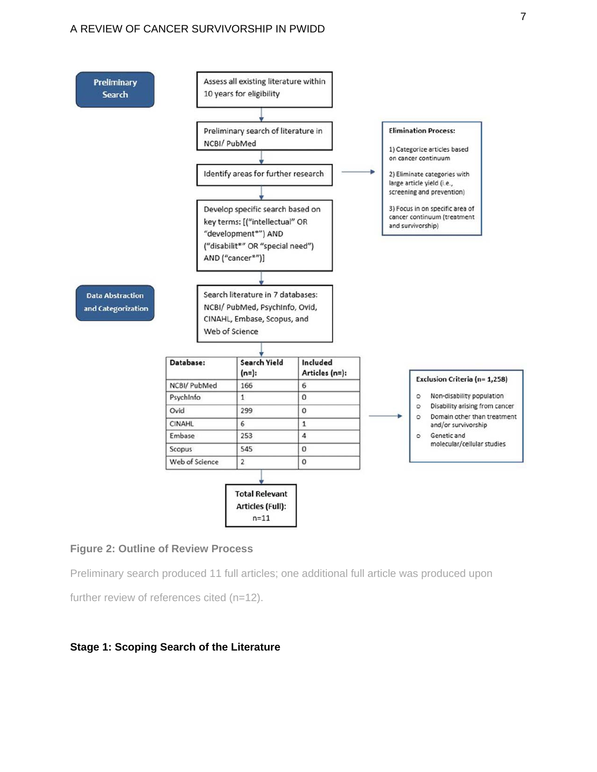

# **Figure 2: Outline of Review Process**

Preliminary search produced 11 full articles; one additional full article was produced upon

further review of references cited (n=12).

## **Stage 1: Scoping Search of the Literature**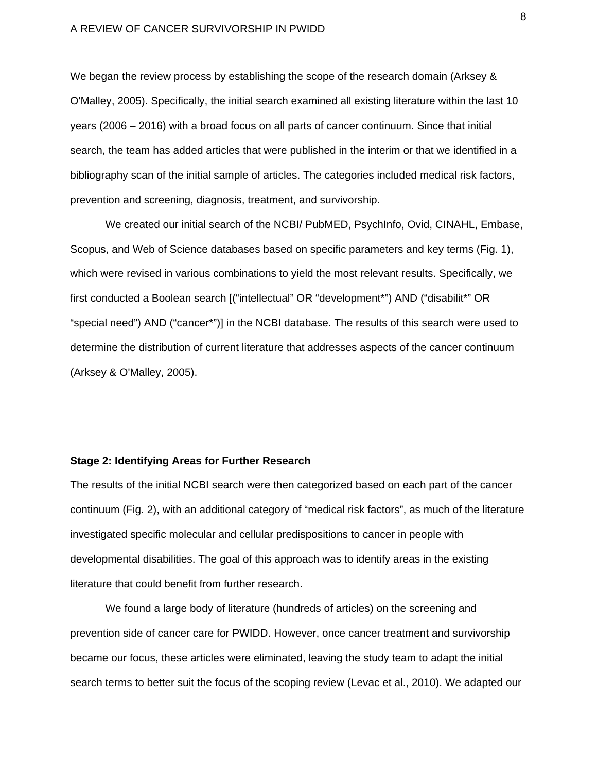We began the review process by establishing the scope of the research domain (Arksey & O'Malley, 2005). Specifically, the initial search examined all existing literature within the last 10 years (2006 – 2016) with a broad focus on all parts of cancer continuum. Since that initial search, the team has added articles that were published in the interim or that we identified in a bibliography scan of the initial sample of articles. The categories included medical risk factors, prevention and screening, diagnosis, treatment, and survivorship.

We created our initial search of the NCBI/ PubMED, PsychInfo, Ovid, CINAHL, Embase, Scopus, and Web of Science databases based on specific parameters and key terms (Fig. 1), which were revised in various combinations to yield the most relevant results. Specifically, we first conducted a Boolean search [("intellectual" OR "development\*") AND ("disabilit\*" OR "special need") AND ("cancer\*")] in the NCBI database. The results of this search were used to determine the distribution of current literature that addresses aspects of the cancer continuum (Arksey & O'Malley, 2005).

## **Stage 2: Identifying Areas for Further Research**

The results of the initial NCBI search were then categorized based on each part of the cancer continuum (Fig. 2), with an additional category of "medical risk factors", as much of the literature investigated specific molecular and cellular predispositions to cancer in people with developmental disabilities. The goal of this approach was to identify areas in the existing literature that could benefit from further research.

We found a large body of literature (hundreds of articles) on the screening and prevention side of cancer care for PWIDD. However, once cancer treatment and survivorship became our focus, these articles were eliminated, leaving the study team to adapt the initial search terms to better suit the focus of the scoping review (Levac et al., 2010). We adapted our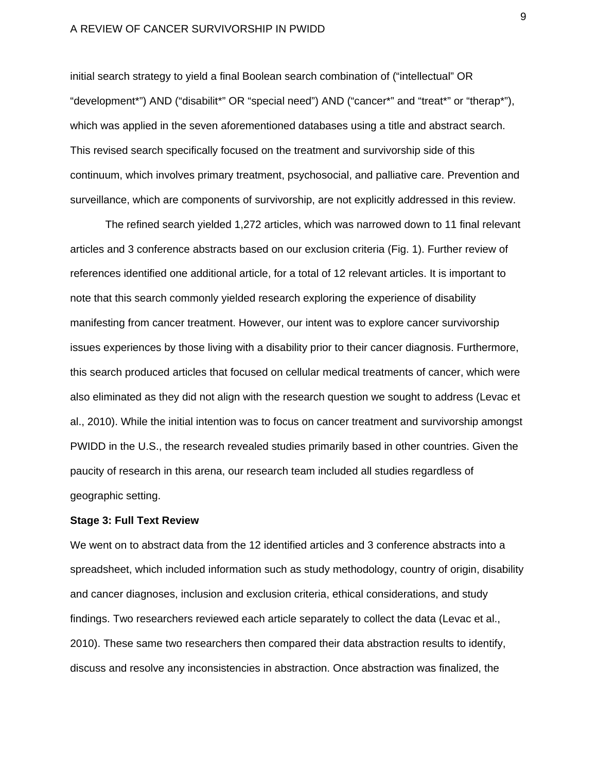initial search strategy to yield a final Boolean search combination of ("intellectual" OR "development\*") AND ("disabilit\*" OR "special need") AND ("cancer\*" and "treat\*" or "therap\*"), which was applied in the seven aforementioned databases using a title and abstract search. This revised search specifically focused on the treatment and survivorship side of this continuum, which involves primary treatment, psychosocial, and palliative care. Prevention and surveillance, which are components of survivorship, are not explicitly addressed in this review.

The refined search yielded 1,272 articles, which was narrowed down to 11 final relevant articles and 3 conference abstracts based on our exclusion criteria (Fig. 1). Further review of references identified one additional article, for a total of 12 relevant articles. It is important to note that this search commonly yielded research exploring the experience of disability manifesting from cancer treatment. However, our intent was to explore cancer survivorship issues experiences by those living with a disability prior to their cancer diagnosis. Furthermore, this search produced articles that focused on cellular medical treatments of cancer, which were also eliminated as they did not align with the research question we sought to address (Levac et al., 2010). While the initial intention was to focus on cancer treatment and survivorship amongst PWIDD in the U.S., the research revealed studies primarily based in other countries. Given the paucity of research in this arena, our research team included all studies regardless of geographic setting.

# **Stage 3: Full Text Review**

We went on to abstract data from the 12 identified articles and 3 conference abstracts into a spreadsheet, which included information such as study methodology, country of origin, disability and cancer diagnoses, inclusion and exclusion criteria, ethical considerations, and study findings. Two researchers reviewed each article separately to collect the data (Levac et al., 2010). These same two researchers then compared their data abstraction results to identify, discuss and resolve any inconsistencies in abstraction. Once abstraction was finalized, the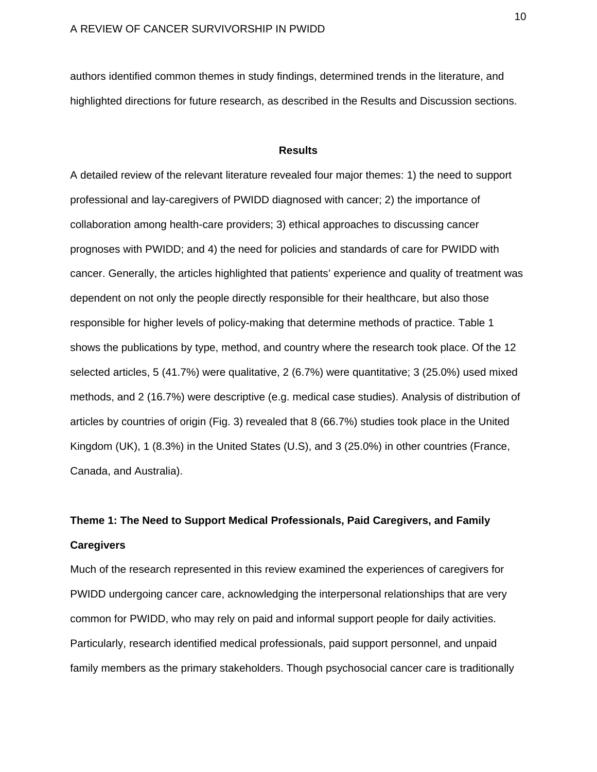authors identified common themes in study findings, determined trends in the literature, and highlighted directions for future research, as described in the Results and Discussion sections.

# **Results**

A detailed review of the relevant literature revealed four major themes: 1) the need to support professional and lay-caregivers of PWIDD diagnosed with cancer; 2) the importance of collaboration among health-care providers; 3) ethical approaches to discussing cancer prognoses with PWIDD; and 4) the need for policies and standards of care for PWIDD with cancer. Generally, the articles highlighted that patients' experience and quality of treatment was dependent on not only the people directly responsible for their healthcare, but also those responsible for higher levels of policy-making that determine methods of practice. Table 1 shows the publications by type, method, and country where the research took place. Of the 12 selected articles, 5 (41.7%) were qualitative, 2 (6.7%) were quantitative; 3 (25.0%) used mixed methods, and 2 (16.7%) were descriptive (e.g. medical case studies). Analysis of distribution of articles by countries of origin (Fig. 3) revealed that 8 (66.7%) studies took place in the United Kingdom (UK), 1 (8.3%) in the United States (U.S), and 3 (25.0%) in other countries (France, Canada, and Australia).

# **Theme 1: The Need to Support Medical Professionals, Paid Caregivers, and Family Caregivers**

Much of the research represented in this review examined the experiences of caregivers for PWIDD undergoing cancer care, acknowledging the interpersonal relationships that are very common for PWIDD, who may rely on paid and informal support people for daily activities. Particularly, research identified medical professionals, paid support personnel, and unpaid family members as the primary stakeholders. Though psychosocial cancer care is traditionally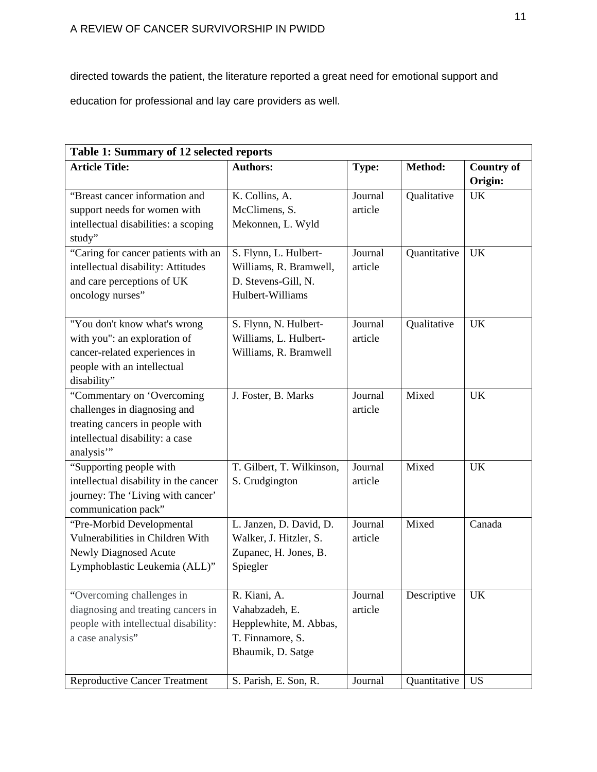directed towards the patient, the literature reported a great need for emotional support and

education for professional and lay care providers as well.

| Table 1: Summary of 12 selected reports |                           |              |              |                              |  |  |
|-----------------------------------------|---------------------------|--------------|--------------|------------------------------|--|--|
| <b>Article Title:</b>                   | <b>Authors:</b>           | <b>Type:</b> | Method:      | <b>Country of</b><br>Origin: |  |  |
| "Breast cancer information and          | K. Collins, A.            | Journal      | Qualitative  | <b>UK</b>                    |  |  |
| support needs for women with            | McClimens, S.             | article      |              |                              |  |  |
| intellectual disabilities: a scoping    | Mekonnen, L. Wyld         |              |              |                              |  |  |
| study"                                  |                           |              |              |                              |  |  |
| "Caring for cancer patients with an     | S. Flynn, L. Hulbert-     | Journal      | Quantitative | <b>UK</b>                    |  |  |
| intellectual disability: Attitudes      | Williams, R. Bramwell,    | article      |              |                              |  |  |
| and care perceptions of UK              | D. Stevens-Gill, N.       |              |              |                              |  |  |
| oncology nurses"                        | Hulbert-Williams          |              |              |                              |  |  |
| "You don't know what's wrong            | S. Flynn, N. Hulbert-     | Journal      | Qualitative  | <b>UK</b>                    |  |  |
| with you": an exploration of            | Williams, L. Hulbert-     | article      |              |                              |  |  |
| cancer-related experiences in           | Williams, R. Bramwell     |              |              |                              |  |  |
| people with an intellectual             |                           |              |              |                              |  |  |
| disability"                             |                           |              |              |                              |  |  |
| "Commentary on 'Overcoming              | J. Foster, B. Marks       | Journal      | Mixed        | <b>UK</b>                    |  |  |
| challenges in diagnosing and            |                           | article      |              |                              |  |  |
| treating cancers in people with         |                           |              |              |                              |  |  |
| intellectual disability: a case         |                           |              |              |                              |  |  |
| analysis"                               |                           |              |              |                              |  |  |
| "Supporting people with                 | T. Gilbert, T. Wilkinson, | Journal      | Mixed        | UK                           |  |  |
| intellectual disability in the cancer   | S. Crudgington            | article      |              |                              |  |  |
| journey: The 'Living with cancer'       |                           |              |              |                              |  |  |
| communication pack"                     |                           |              |              |                              |  |  |
| "Pre-Morbid Developmental               | L. Janzen, D. David, D.   | Journal      | Mixed        | Canada                       |  |  |
| Vulnerabilities in Children With        | Walker, J. Hitzler, S.    | article      |              |                              |  |  |
| Newly Diagnosed Acute                   | Zupanec, H. Jones, B.     |              |              |                              |  |  |
| Lymphoblastic Leukemia (ALL)"           | Spiegler                  |              |              |                              |  |  |
| "Overcoming challenges in               | R. Kiani, A.              | Journal      | Descriptive  | <b>UK</b>                    |  |  |
| diagnosing and treating cancers in      | Vahabzadeh, E.            | article      |              |                              |  |  |
| people with intellectual disability:    | Hepplewhite, M. Abbas,    |              |              |                              |  |  |
| a case analysis"                        | T. Finnamore, S.          |              |              |                              |  |  |
|                                         | Bhaumik, D. Satge         |              |              |                              |  |  |
| <b>Reproductive Cancer Treatment</b>    | S. Parish, E. Son, R.     | Journal      | Quantitative | <b>US</b>                    |  |  |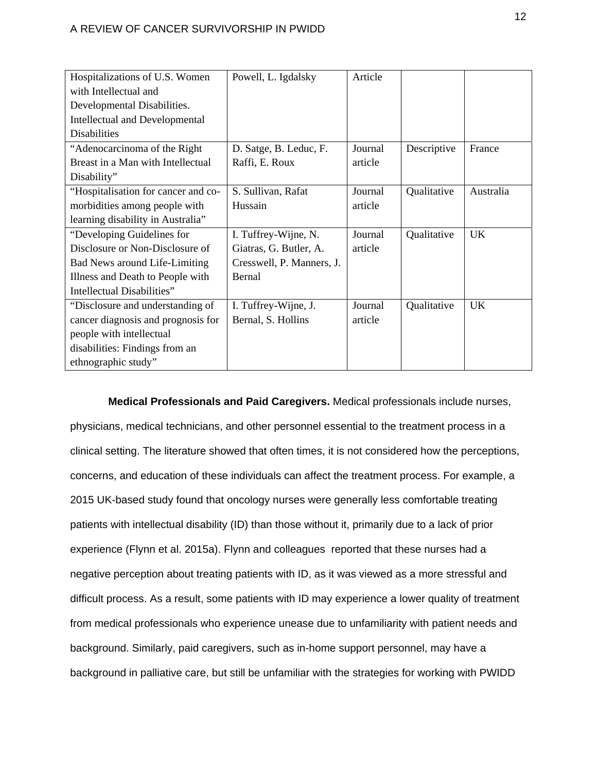| Hospitalizations of U.S. Women        | Powell, L. Igdalsky       | Article |             |           |
|---------------------------------------|---------------------------|---------|-------------|-----------|
| with Intellectual and                 |                           |         |             |           |
| Developmental Disabilities.           |                           |         |             |           |
| <b>Intellectual and Developmental</b> |                           |         |             |           |
| <b>Disabilities</b>                   |                           |         |             |           |
| "Adenocarcinoma of the Right"         | D. Satge, B. Leduc, F.    | Journal | Descriptive | France    |
| Breast in a Man with Intellectual     | Raffi, E. Roux            | article |             |           |
| Disability"                           |                           |         |             |           |
| "Hospitalisation for cancer and co-   | S. Sullivan, Rafat        | Journal | Qualitative | Australia |
| morbidities among people with         | Hussain                   | article |             |           |
| learning disability in Australia"     |                           |         |             |           |
| "Developing Guidelines for            | I. Tuffrey-Wijne, N.      | Journal | Qualitative | <b>UK</b> |
| Disclosure or Non-Disclosure of       | Giatras, G. Butler, A.    | article |             |           |
| Bad News around Life-Limiting         | Cresswell, P. Manners, J. |         |             |           |
| Illness and Death to People with      | Bernal                    |         |             |           |
| Intellectual Disabilities"            |                           |         |             |           |
| "Disclosure and understanding of      | I. Tuffrey-Wijne, J.      | Journal | Qualitative | <b>UK</b> |
| cancer diagnosis and prognosis for    | Bernal, S. Hollins        | article |             |           |
| people with intellectual              |                           |         |             |           |
| disabilities: Findings from an        |                           |         |             |           |
| ethnographic study"                   |                           |         |             |           |

**Medical Professionals and Paid Caregivers.** Medical professionals include nurses, physicians, medical technicians, and other personnel essential to the treatment process in a clinical setting. The literature showed that often times, it is not considered how the perceptions, concerns, and education of these individuals can affect the treatment process. For example, a 2015 UK-based study found that oncology nurses were generally less comfortable treating patients with intellectual disability (ID) than those without it, primarily due to a lack of prior experience (Flynn et al. 2015a). Flynn and colleagues reported that these nurses had a negative perception about treating patients with ID, as it was viewed as a more stressful and difficult process. As a result, some patients with ID may experience a lower quality of treatment from medical professionals who experience unease due to unfamiliarity with patient needs and background. Similarly, paid caregivers, such as in-home support personnel, may have a background in palliative care, but still be unfamiliar with the strategies for working with PWIDD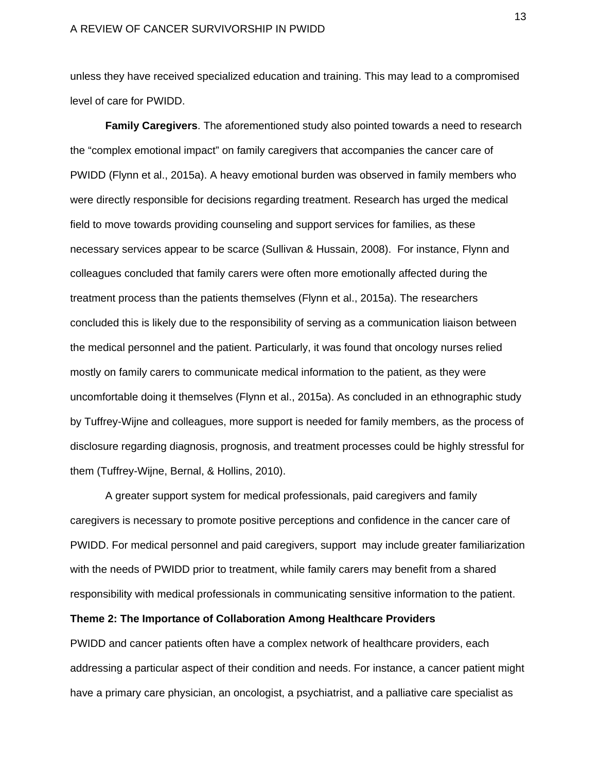unless they have received specialized education and training. This may lead to a compromised level of care for PWIDD.

**Family Caregivers**. The aforementioned study also pointed towards a need to research the "complex emotional impact" on family caregivers that accompanies the cancer care of PWIDD (Flynn et al., 2015a). A heavy emotional burden was observed in family members who were directly responsible for decisions regarding treatment. Research has urged the medical field to move towards providing counseling and support services for families, as these necessary services appear to be scarce (Sullivan & Hussain, 2008). For instance, Flynn and colleagues concluded that family carers were often more emotionally affected during the treatment process than the patients themselves (Flynn et al., 2015a). The researchers concluded this is likely due to the responsibility of serving as a communication liaison between the medical personnel and the patient. Particularly, it was found that oncology nurses relied mostly on family carers to communicate medical information to the patient, as they were uncomfortable doing it themselves (Flynn et al., 2015a). As concluded in an ethnographic study by Tuffrey-Wijne and colleagues, more support is needed for family members, as the process of disclosure regarding diagnosis, prognosis, and treatment processes could be highly stressful for them (Tuffrey-Wijne, Bernal, & Hollins, 2010).

 A greater support system for medical professionals, paid caregivers and family caregivers is necessary to promote positive perceptions and confidence in the cancer care of PWIDD. For medical personnel and paid caregivers, support may include greater familiarization with the needs of PWIDD prior to treatment, while family carers may benefit from a shared responsibility with medical professionals in communicating sensitive information to the patient.

# **Theme 2: The Importance of Collaboration Among Healthcare Providers**

PWIDD and cancer patients often have a complex network of healthcare providers, each addressing a particular aspect of their condition and needs. For instance, a cancer patient might have a primary care physician, an oncologist, a psychiatrist, and a palliative care specialist as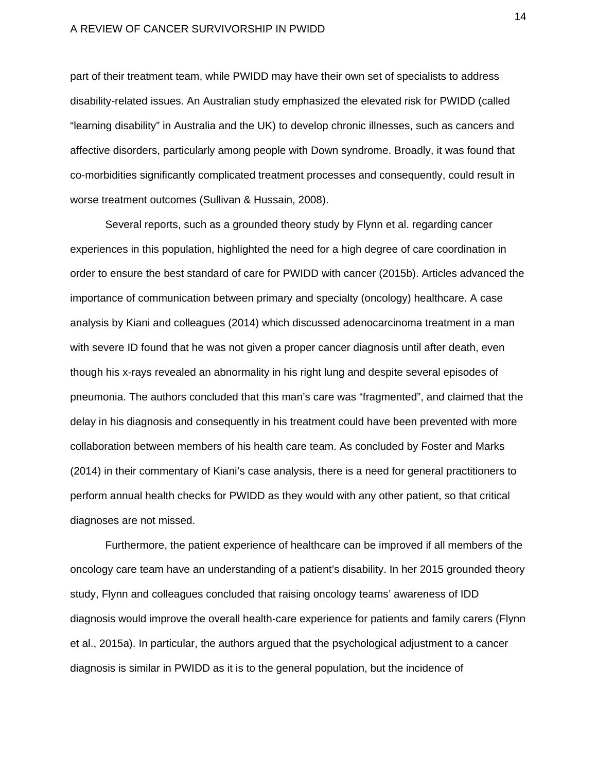part of their treatment team, while PWIDD may have their own set of specialists to address disability-related issues. An Australian study emphasized the elevated risk for PWIDD (called "learning disability" in Australia and the UK) to develop chronic illnesses, such as cancers and affective disorders, particularly among people with Down syndrome. Broadly, it was found that co-morbidities significantly complicated treatment processes and consequently, could result in worse treatment outcomes (Sullivan & Hussain, 2008).

Several reports, such as a grounded theory study by Flynn et al. regarding cancer experiences in this population, highlighted the need for a high degree of care coordination in order to ensure the best standard of care for PWIDD with cancer (2015b). Articles advanced the importance of communication between primary and specialty (oncology) healthcare. A case analysis by Kiani and colleagues (2014) which discussed adenocarcinoma treatment in a man with severe ID found that he was not given a proper cancer diagnosis until after death, even though his x-rays revealed an abnormality in his right lung and despite several episodes of pneumonia. The authors concluded that this man's care was "fragmented", and claimed that the delay in his diagnosis and consequently in his treatment could have been prevented with more collaboration between members of his health care team. As concluded by Foster and Marks (2014) in their commentary of Kiani's case analysis, there is a need for general practitioners to perform annual health checks for PWIDD as they would with any other patient, so that critical diagnoses are not missed.

Furthermore, the patient experience of healthcare can be improved if all members of the oncology care team have an understanding of a patient's disability. In her 2015 grounded theory study, Flynn and colleagues concluded that raising oncology teams' awareness of IDD diagnosis would improve the overall health-care experience for patients and family carers (Flynn et al., 2015a). In particular, the authors argued that the psychological adjustment to a cancer diagnosis is similar in PWIDD as it is to the general population, but the incidence of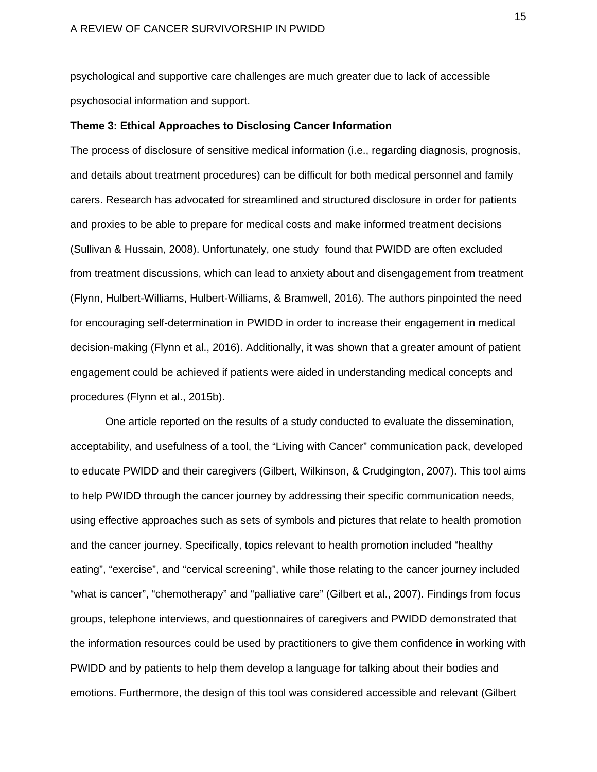psychological and supportive care challenges are much greater due to lack of accessible psychosocial information and support.

## **Theme 3: Ethical Approaches to Disclosing Cancer Information**

The process of disclosure of sensitive medical information (i.e., regarding diagnosis, prognosis, and details about treatment procedures) can be difficult for both medical personnel and family carers. Research has advocated for streamlined and structured disclosure in order for patients and proxies to be able to prepare for medical costs and make informed treatment decisions (Sullivan & Hussain, 2008). Unfortunately, one study found that PWIDD are often excluded from treatment discussions, which can lead to anxiety about and disengagement from treatment (Flynn, Hulbert-Williams, Hulbert-Williams, & Bramwell, 2016). The authors pinpointed the need for encouraging self-determination in PWIDD in order to increase their engagement in medical decision-making (Flynn et al., 2016). Additionally, it was shown that a greater amount of patient engagement could be achieved if patients were aided in understanding medical concepts and procedures (Flynn et al., 2015b).

 One article reported on the results of a study conducted to evaluate the dissemination, acceptability, and usefulness of a tool, the "Living with Cancer" communication pack, developed to educate PWIDD and their caregivers (Gilbert, Wilkinson, & Crudgington, 2007). This tool aims to help PWIDD through the cancer journey by addressing their specific communication needs, using effective approaches such as sets of symbols and pictures that relate to health promotion and the cancer journey. Specifically, topics relevant to health promotion included "healthy eating", "exercise", and "cervical screening", while those relating to the cancer journey included "what is cancer", "chemotherapy" and "palliative care" (Gilbert et al., 2007). Findings from focus groups, telephone interviews, and questionnaires of caregivers and PWIDD demonstrated that the information resources could be used by practitioners to give them confidence in working with PWIDD and by patients to help them develop a language for talking about their bodies and emotions. Furthermore, the design of this tool was considered accessible and relevant (Gilbert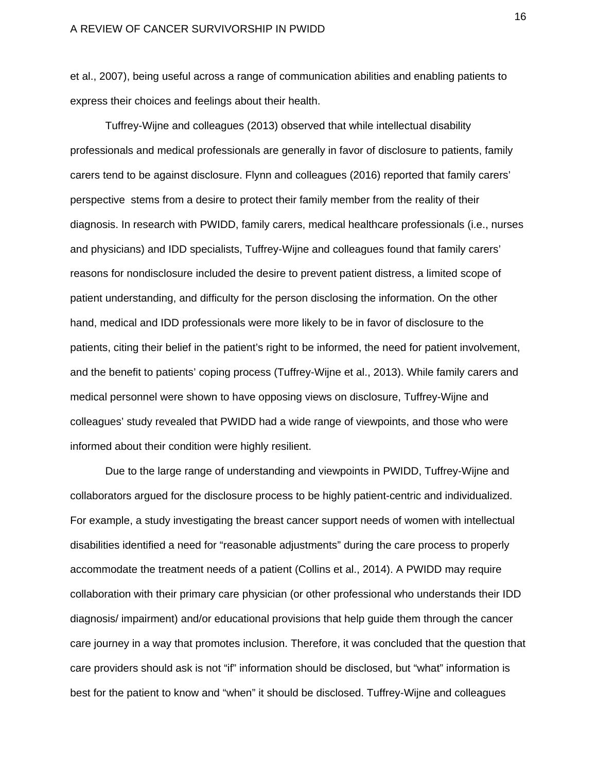et al., 2007), being useful across a range of communication abilities and enabling patients to express their choices and feelings about their health.

 Tuffrey-Wijne and colleagues (2013) observed that while intellectual disability professionals and medical professionals are generally in favor of disclosure to patients, family carers tend to be against disclosure. Flynn and colleagues (2016) reported that family carers' perspective stems from a desire to protect their family member from the reality of their diagnosis. In research with PWIDD, family carers, medical healthcare professionals (i.e., nurses and physicians) and IDD specialists, Tuffrey-Wijne and colleagues found that family carers' reasons for nondisclosure included the desire to prevent patient distress, a limited scope of patient understanding, and difficulty for the person disclosing the information. On the other hand, medical and IDD professionals were more likely to be in favor of disclosure to the patients, citing their belief in the patient's right to be informed, the need for patient involvement, and the benefit to patients' coping process (Tuffrey-Wijne et al., 2013). While family carers and medical personnel were shown to have opposing views on disclosure, Tuffrey-Wijne and colleagues' study revealed that PWIDD had a wide range of viewpoints, and those who were informed about their condition were highly resilient.

Due to the large range of understanding and viewpoints in PWIDD, Tuffrey-Wijne and collaborators argued for the disclosure process to be highly patient-centric and individualized. For example, a study investigating the breast cancer support needs of women with intellectual disabilities identified a need for "reasonable adjustments" during the care process to properly accommodate the treatment needs of a patient (Collins et al., 2014). A PWIDD may require collaboration with their primary care physician (or other professional who understands their IDD diagnosis/ impairment) and/or educational provisions that help guide them through the cancer care journey in a way that promotes inclusion. Therefore, it was concluded that the question that care providers should ask is not "if" information should be disclosed, but "what" information is best for the patient to know and "when" it should be disclosed. Tuffrey-Wijne and colleagues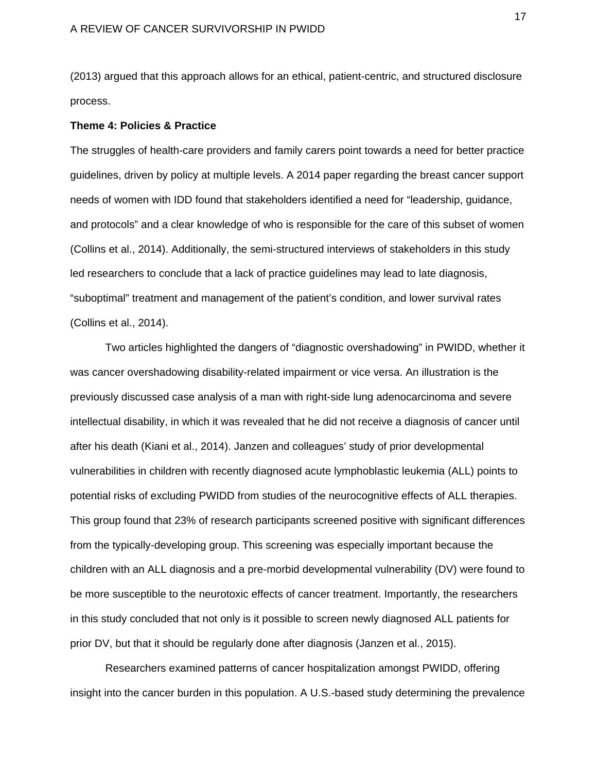(2013) argued that this approach allows for an ethical, patient-centric, and structured disclosure process.

## **Theme 4: Policies & Practice**

The struggles of health-care providers and family carers point towards a need for better practice guidelines, driven by policy at multiple levels. A 2014 paper regarding the breast cancer support needs of women with IDD found that stakeholders identified a need for "leadership, guidance, and protocols" and a clear knowledge of who is responsible for the care of this subset of women (Collins et al., 2014). Additionally, the semi-structured interviews of stakeholders in this study led researchers to conclude that a lack of practice guidelines may lead to late diagnosis, "suboptimal" treatment and management of the patient's condition, and lower survival rates (Collins et al., 2014).

Two articles highlighted the dangers of "diagnostic overshadowing" in PWIDD, whether it was cancer overshadowing disability-related impairment or vice versa. An illustration is the previously discussed case analysis of a man with right-side lung adenocarcinoma and severe intellectual disability, in which it was revealed that he did not receive a diagnosis of cancer until after his death (Kiani et al., 2014). Janzen and colleagues' study of prior developmental vulnerabilities in children with recently diagnosed acute lymphoblastic leukemia (ALL) points to potential risks of excluding PWIDD from studies of the neurocognitive effects of ALL therapies. This group found that 23% of research participants screened positive with significant differences from the typically-developing group. This screening was especially important because the children with an ALL diagnosis and a pre-morbid developmental vulnerability (DV) were found to be more susceptible to the neurotoxic effects of cancer treatment. Importantly, the researchers in this study concluded that not only is it possible to screen newly diagnosed ALL patients for prior DV, but that it should be regularly done after diagnosis (Janzen et al., 2015).

Researchers examined patterns of cancer hospitalization amongst PWIDD, offering insight into the cancer burden in this population. A U.S.-based study determining the prevalence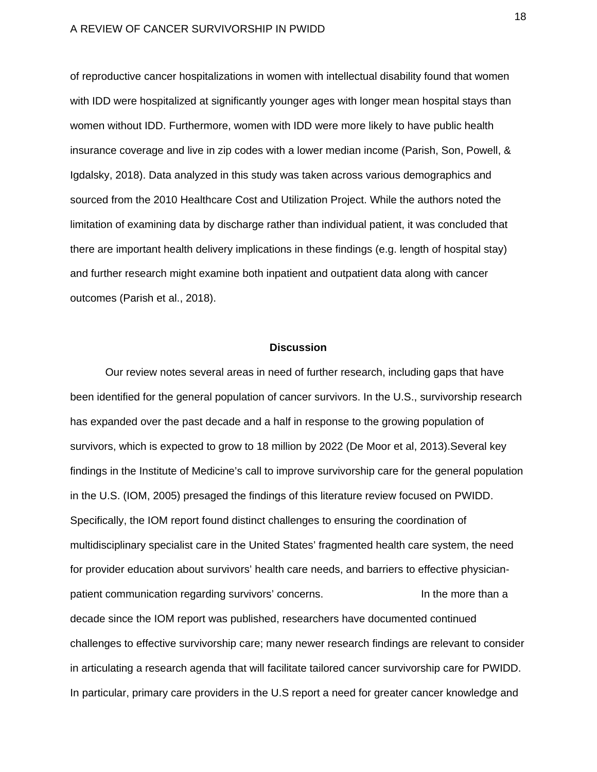of reproductive cancer hospitalizations in women with intellectual disability found that women with IDD were hospitalized at significantly younger ages with longer mean hospital stays than women without IDD. Furthermore, women with IDD were more likely to have public health insurance coverage and live in zip codes with a lower median income (Parish, Son, Powell, & Igdalsky, 2018). Data analyzed in this study was taken across various demographics and sourced from the 2010 Healthcare Cost and Utilization Project. While the authors noted the limitation of examining data by discharge rather than individual patient, it was concluded that there are important health delivery implications in these findings (e.g. length of hospital stay) and further research might examine both inpatient and outpatient data along with cancer outcomes (Parish et al., 2018).

## **Discussion**

Our review notes several areas in need of further research, including gaps that have been identified for the general population of cancer survivors. In the U.S., survivorship research has expanded over the past decade and a half in response to the growing population of survivors, which is expected to grow to 18 million by 2022 (De Moor et al, 2013).Several key findings in the Institute of Medicine's call to improve survivorship care for the general population in the U.S. (IOM, 2005) presaged the findings of this literature review focused on PWIDD. Specifically, the IOM report found distinct challenges to ensuring the coordination of multidisciplinary specialist care in the United States' fragmented health care system, the need for provider education about survivors' health care needs, and barriers to effective physicianpatient communication regarding survivors' concerns. In the more than a decade since the IOM report was published, researchers have documented continued challenges to effective survivorship care; many newer research findings are relevant to consider in articulating a research agenda that will facilitate tailored cancer survivorship care for PWIDD. In particular, primary care providers in the U.S report a need for greater cancer knowledge and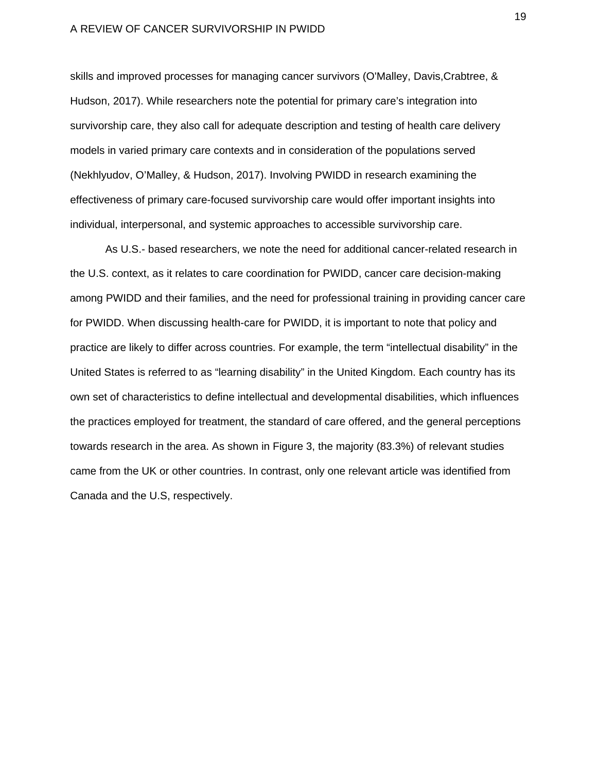skills and improved processes for managing cancer survivors (O'Malley, Davis,Crabtree, & Hudson, 2017). While researchers note the potential for primary care's integration into survivorship care, they also call for adequate description and testing of health care delivery models in varied primary care contexts and in consideration of the populations served (Nekhlyudov, O'Malley, & Hudson, 2017). Involving PWIDD in research examining the effectiveness of primary care-focused survivorship care would offer important insights into individual, interpersonal, and systemic approaches to accessible survivorship care.

As U.S.- based researchers, we note the need for additional cancer-related research in the U.S. context, as it relates to care coordination for PWIDD, cancer care decision-making among PWIDD and their families, and the need for professional training in providing cancer care for PWIDD. When discussing health-care for PWIDD, it is important to note that policy and practice are likely to differ across countries. For example, the term "intellectual disability" in the United States is referred to as "learning disability" in the United Kingdom. Each country has its own set of characteristics to define intellectual and developmental disabilities, which influences the practices employed for treatment, the standard of care offered, and the general perceptions towards research in the area. As shown in Figure 3, the majority (83.3%) of relevant studies came from the UK or other countries. In contrast, only one relevant article was identified from Canada and the U.S, respectively.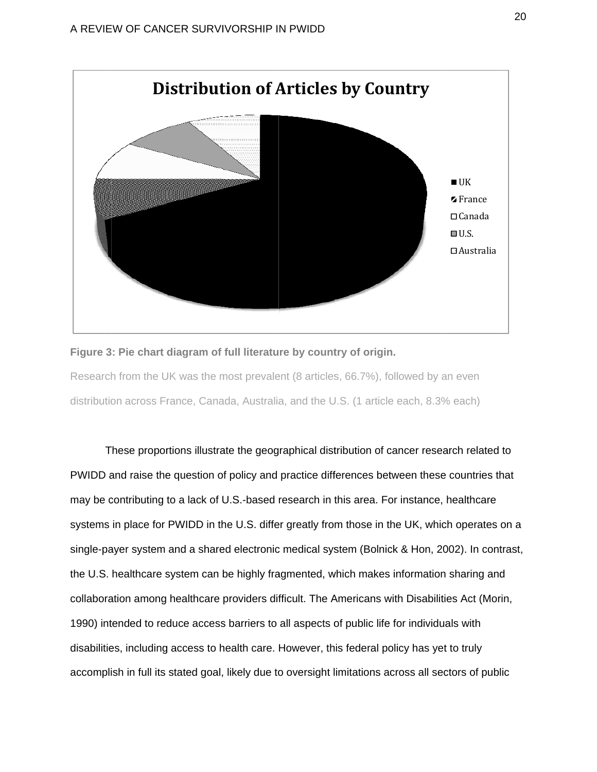

#### Figure 3: Pie chart diagram of full literature by country of origin.

Research from the UK was the most prevalent (8 articles, 66.7%), followed by an even distribution across France, Canada, Australia, and the U.S. (1 article each, 8.3% each)

These proportions illustrate the geographical distribution of cancer research related to PWIDD and raise the question of policy and practice differences between these countries that may be contributing to a lack of U.S.-based research in this area. For instance, healthcare systems in place for PWIDD in the U.S. differ greatly from those in the UK, which operates on a single-payer system and a shared electronic medical system (Bolnick & Hon, 2002). In contrast, the U.S. healthcare system can be highly fragmented, which makes information sharing and the U.S. healthcare system can be highly fragmented, which makes information sharing and<br>collaboration among healthcare providers difficult. The Americans with Disabilities Act (Morin, 1990) intended to reduce access barriers to all aspects of public life for individuals with disabilities, including access to health care. However, this federal policy has yet to truly accomplish in full its stated goal, likely due to oversight limitations across all sectors of public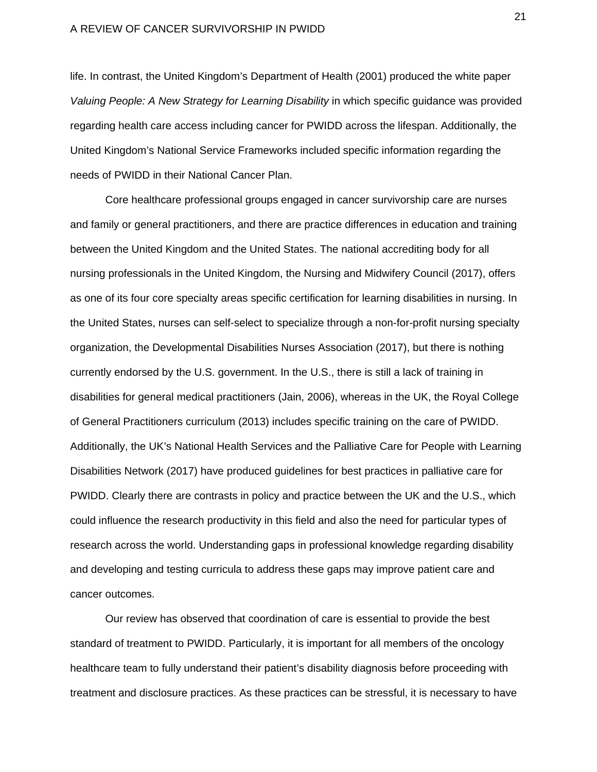life. In contrast, the United Kingdom's Department of Health (2001) produced the white paper *Valuing People: A New Strategy for Learning Disability* in which specific guidance was provided regarding health care access including cancer for PWIDD across the lifespan. Additionally, the United Kingdom's National Service Frameworks included specific information regarding the needs of PWIDD in their National Cancer Plan.

Core healthcare professional groups engaged in cancer survivorship care are nurses and family or general practitioners, and there are practice differences in education and training between the United Kingdom and the United States. The national accrediting body for all nursing professionals in the United Kingdom, the Nursing and Midwifery Council (2017), offers as one of its four core specialty areas specific certification for learning disabilities in nursing. In the United States, nurses can self-select to specialize through a non-for-profit nursing specialty organization, the Developmental Disabilities Nurses Association (2017), but there is nothing currently endorsed by the U.S. government. In the U.S., there is still a lack of training in disabilities for general medical practitioners (Jain, 2006), whereas in the UK, the Royal College of General Practitioners curriculum (2013) includes specific training on the care of PWIDD. Additionally, the UK's National Health Services and the Palliative Care for People with Learning Disabilities Network (2017) have produced guidelines for best practices in palliative care for PWIDD. Clearly there are contrasts in policy and practice between the UK and the U.S., which could influence the research productivity in this field and also the need for particular types of research across the world. Understanding gaps in professional knowledge regarding disability and developing and testing curricula to address these gaps may improve patient care and cancer outcomes.

Our review has observed that coordination of care is essential to provide the best standard of treatment to PWIDD. Particularly, it is important for all members of the oncology healthcare team to fully understand their patient's disability diagnosis before proceeding with treatment and disclosure practices. As these practices can be stressful, it is necessary to have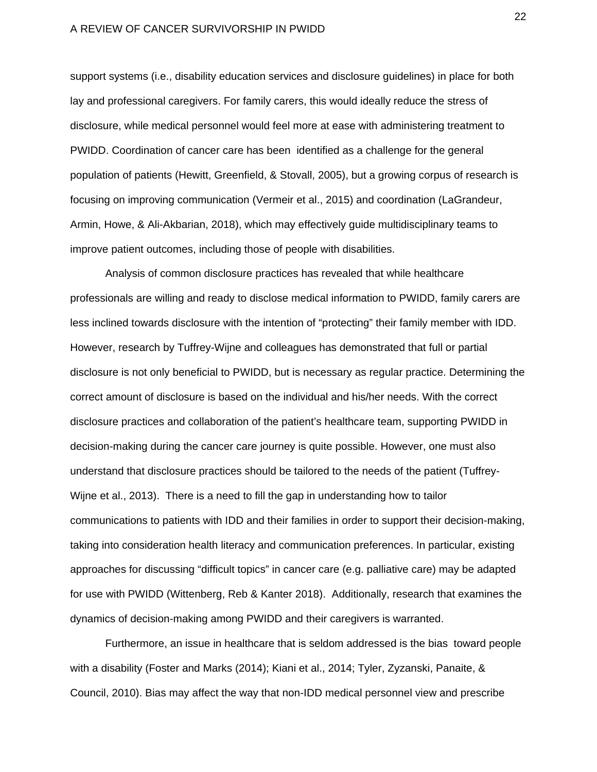support systems (i.e., disability education services and disclosure guidelines) in place for both lay and professional caregivers. For family carers, this would ideally reduce the stress of disclosure, while medical personnel would feel more at ease with administering treatment to PWIDD. Coordination of cancer care has been identified as a challenge for the general population of patients (Hewitt, Greenfield, & Stovall, 2005), but a growing corpus of research is focusing on improving communication (Vermeir et al., 2015) and coordination (LaGrandeur, Armin, Howe, & Ali-Akbarian, 2018), which may effectively guide multidisciplinary teams to improve patient outcomes, including those of people with disabilities.

Analysis of common disclosure practices has revealed that while healthcare professionals are willing and ready to disclose medical information to PWIDD, family carers are less inclined towards disclosure with the intention of "protecting" their family member with IDD. However, research by Tuffrey-Wijne and colleagues has demonstrated that full or partial disclosure is not only beneficial to PWIDD, but is necessary as regular practice. Determining the correct amount of disclosure is based on the individual and his/her needs. With the correct disclosure practices and collaboration of the patient's healthcare team, supporting PWIDD in decision-making during the cancer care journey is quite possible. However, one must also understand that disclosure practices should be tailored to the needs of the patient (Tuffrey-Wijne et al., 2013). There is a need to fill the gap in understanding how to tailor communications to patients with IDD and their families in order to support their decision-making, taking into consideration health literacy and communication preferences. In particular, existing approaches for discussing "difficult topics" in cancer care (e.g. palliative care) may be adapted for use with PWIDD (Wittenberg, Reb & Kanter 2018). Additionally, research that examines the dynamics of decision-making among PWIDD and their caregivers is warranted.

Furthermore, an issue in healthcare that is seldom addressed is the bias toward people with a disability (Foster and Marks (2014); Kiani et al., 2014; Tyler, Zyzanski, Panaite, & Council, 2010). Bias may affect the way that non-IDD medical personnel view and prescribe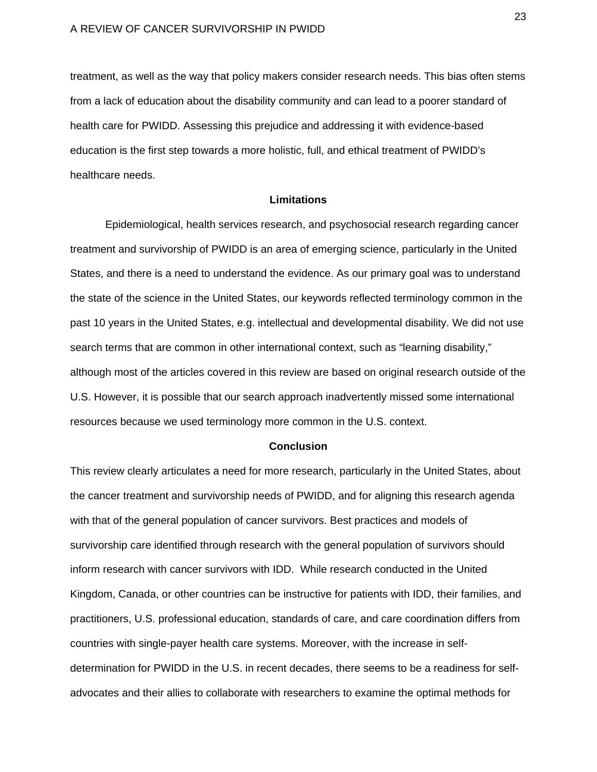treatment, as well as the way that policy makers consider research needs. This bias often stems from a lack of education about the disability community and can lead to a poorer standard of health care for PWIDD. Assessing this prejudice and addressing it with evidence-based education is the first step towards a more holistic, full, and ethical treatment of PWIDD's healthcare needs.

## **Limitations**

Epidemiological, health services research, and psychosocial research regarding cancer treatment and survivorship of PWIDD is an area of emerging science, particularly in the United States, and there is a need to understand the evidence. As our primary goal was to understand the state of the science in the United States, our keywords reflected terminology common in the past 10 years in the United States, e.g. intellectual and developmental disability. We did not use search terms that are common in other international context, such as "learning disability," although most of the articles covered in this review are based on original research outside of the U.S. However, it is possible that our search approach inadvertently missed some international resources because we used terminology more common in the U.S. context.

#### **Conclusion**

This review clearly articulates a need for more research, particularly in the United States, about the cancer treatment and survivorship needs of PWIDD, and for aligning this research agenda with that of the general population of cancer survivors. Best practices and models of survivorship care identified through research with the general population of survivors should inform research with cancer survivors with IDD. While research conducted in the United Kingdom, Canada, or other countries can be instructive for patients with IDD, their families, and practitioners, U.S. professional education, standards of care, and care coordination differs from countries with single-payer health care systems. Moreover, with the increase in selfdetermination for PWIDD in the U.S. in recent decades, there seems to be a readiness for selfadvocates and their allies to collaborate with researchers to examine the optimal methods for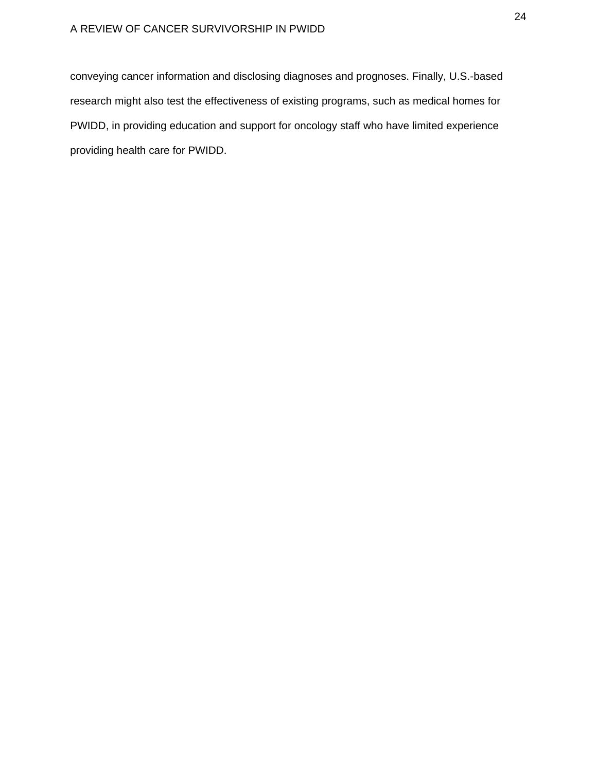conveying cancer information and disclosing diagnoses and prognoses. Finally, U.S.-based research might also test the effectiveness of existing programs, such as medical homes for PWIDD, in providing education and support for oncology staff who have limited experience providing health care for PWIDD.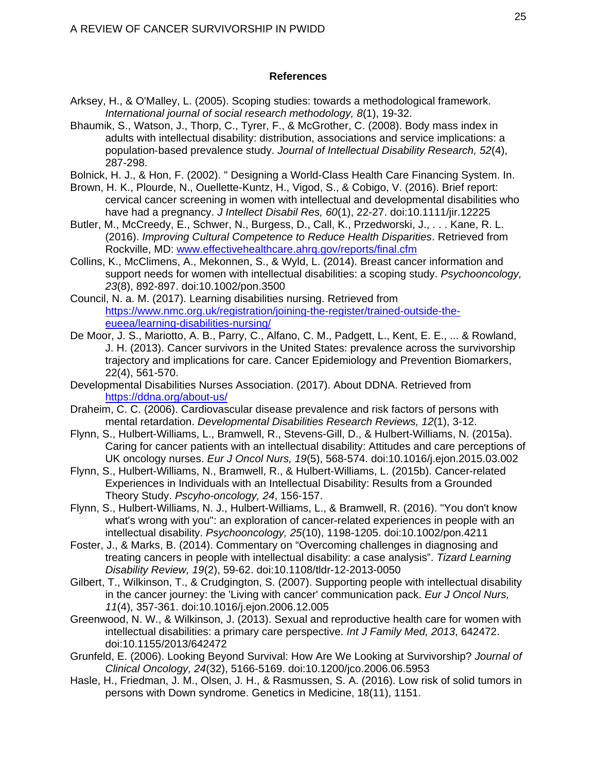# **References**

- Arksey, H., & O'Malley, L. (2005). Scoping studies: towards a methodological framework. *International journal of social research methodology, 8*(1), 19-32.
- Bhaumik, S., Watson, J., Thorp, C., Tyrer, F., & McGrother, C. (2008). Body mass index in adults with intellectual disability: distribution, associations and service implications: a population‐based prevalence study. *Journal of Intellectual Disability Research, 52*(4), 287-298.
- Bolnick, H. J., & Hon, F. (2002). " Designing a World-Class Health Care Financing System. In.
- Brown, H. K., Plourde, N., Ouellette-Kuntz, H., Vigod, S., & Cobigo, V. (2016). Brief report: cervical cancer screening in women with intellectual and developmental disabilities who have had a pregnancy. *J Intellect Disabil Res, 60*(1), 22-27. doi:10.1111/jir.12225
- Butler, M., McCreedy, E., Schwer, N., Burgess, D., Call, K., Przedworski, J., . . . Kane, R. L. (2016). *Improving Cultural Competence to Reduce Health Disparities*. Retrieved from Rockville, MD: www.effectivehealthcare.ahrg.gov/reports/final.cfm
- Collins, K., McClimens, A., Mekonnen, S., & Wyld, L. (2014). Breast cancer information and support needs for women with intellectual disabilities: a scoping study. *Psychooncology, 23*(8), 892-897. doi:10.1002/pon.3500
- Council, N. a. M. (2017). Learning disabilities nursing. Retrieved from https://www.nmc.org.uk/registration/joining-the-register/trained-outside-theeueea/learning-disabilities-nursing/
- De Moor, J. S., Mariotto, A. B., Parry, C., Alfano, C. M., Padgett, L., Kent, E. E., ... & Rowland, J. H. (2013). Cancer survivors in the United States: prevalence across the survivorship trajectory and implications for care. Cancer Epidemiology and Prevention Biomarkers, 22(4), 561-570.
- Developmental Disabilities Nurses Association. (2017). About DDNA. Retrieved from https://ddna.org/about-us/
- Draheim, C. C. (2006). Cardiovascular disease prevalence and risk factors of persons with mental retardation. *Developmental Disabilities Research Reviews, 12*(1), 3-12.
- Flynn, S., Hulbert-Williams, L., Bramwell, R., Stevens-Gill, D., & Hulbert-Williams, N. (2015a). Caring for cancer patients with an intellectual disability: Attitudes and care perceptions of UK oncology nurses. *Eur J Oncol Nurs, 19*(5), 568-574. doi:10.1016/j.ejon.2015.03.002
- Flynn, S., Hulbert-Williams, N., Bramwell, R., & Hulbert-Williams, L. (2015b). Cancer-related Experiences in Individuals with an Intellectual Disability: Results from a Grounded Theory Study. *Pscyho-oncology, 24*, 156-157.
- Flynn, S., Hulbert-Williams, N. J., Hulbert-Williams, L., & Bramwell, R. (2016). "You don't know what's wrong with you": an exploration of cancer-related experiences in people with an intellectual disability. *Psychooncology, 25*(10), 1198-1205. doi:10.1002/pon.4211
- Foster, J., & Marks, B. (2014). Commentary on "Overcoming challenges in diagnosing and treating cancers in people with intellectual disability: a case analysis". *Tizard Learning Disability Review, 19*(2), 59-62. doi:10.1108/tldr-12-2013-0050
- Gilbert, T., Wilkinson, T., & Crudgington, S. (2007). Supporting people with intellectual disability in the cancer journey: the 'Living with cancer' communication pack. *Eur J Oncol Nurs, 11*(4), 357-361. doi:10.1016/j.ejon.2006.12.005
- Greenwood, N. W., & Wilkinson, J. (2013). Sexual and reproductive health care for women with intellectual disabilities: a primary care perspective. *Int J Family Med, 2013*, 642472. doi:10.1155/2013/642472
- Grunfeld, E. (2006). Looking Beyond Survival: How Are We Looking at Survivorship? *Journal of Clinical Oncology, 24*(32), 5166-5169. doi:10.1200/jco.2006.06.5953
- Hasle, H., Friedman, J. M., Olsen, J. H., & Rasmussen, S. A. (2016). Low risk of solid tumors in persons with Down syndrome. Genetics in Medicine, 18(11), 1151.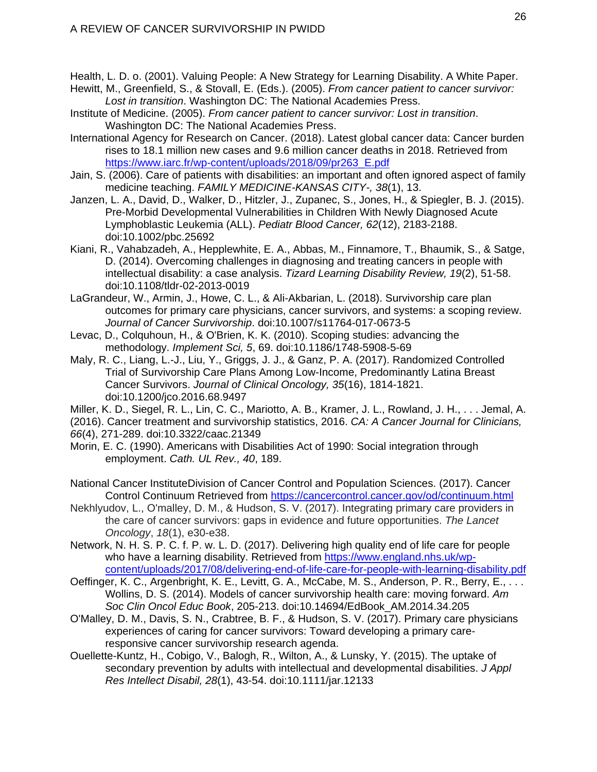Health, L. D. o. (2001). Valuing People: A New Strategy for Learning Disability. A White Paper.

- Hewitt, M., Greenfield, S., & Stovall, E. (Eds.). (2005). *From cancer patient to cancer survivor: Lost in transition*. Washington DC: The National Academies Press.
- Institute of Medicine. (2005). *From cancer patient to cancer survivor: Lost in transition*. Washington DC: The National Academies Press.
- International Agency for Research on Cancer. (2018). Latest global cancer data: Cancer burden rises to 18.1 million new cases and 9.6 million cancer deaths in 2018. Retrieved from https://www.iarc.fr/wp-content/uploads/2018/09/pr263\_E.pdf
- Jain, S. (2006). Care of patients with disabilities: an important and often ignored aspect of family medicine teaching. *FAMILY MEDICINE-KANSAS CITY-, 38*(1), 13.
- Janzen, L. A., David, D., Walker, D., Hitzler, J., Zupanec, S., Jones, H., & Spiegler, B. J. (2015). Pre-Morbid Developmental Vulnerabilities in Children With Newly Diagnosed Acute Lymphoblastic Leukemia (ALL). *Pediatr Blood Cancer, 62*(12), 2183-2188. doi:10.1002/pbc.25692
- Kiani, R., Vahabzadeh, A., Hepplewhite, E. A., Abbas, M., Finnamore, T., Bhaumik, S., & Satge, D. (2014). Overcoming challenges in diagnosing and treating cancers in people with intellectual disability: a case analysis. *Tizard Learning Disability Review, 19*(2), 51-58. doi:10.1108/tldr-02-2013-0019
- LaGrandeur, W., Armin, J., Howe, C. L., & Ali-Akbarian, L. (2018). Survivorship care plan outcomes for primary care physicians, cancer survivors, and systems: a scoping review. *Journal of Cancer Survivorship*. doi:10.1007/s11764-017-0673-5
- Levac, D., Colquhoun, H., & O'Brien, K. K. (2010). Scoping studies: advancing the methodology. *Implement Sci, 5*, 69. doi:10.1186/1748-5908-5-69
- Maly, R. C., Liang, L.-J., Liu, Y., Griggs, J. J., & Ganz, P. A. (2017). Randomized Controlled Trial of Survivorship Care Plans Among Low-Income, Predominantly Latina Breast Cancer Survivors. *Journal of Clinical Oncology, 35*(16), 1814-1821. doi:10.1200/jco.2016.68.9497
- Miller, K. D., Siegel, R. L., Lin, C. C., Mariotto, A. B., Kramer, J. L., Rowland, J. H., . . . Jemal, A. (2016). Cancer treatment and survivorship statistics, 2016. *CA: A Cancer Journal for Clinicians, 66*(4), 271-289. doi:10.3322/caac.21349
- Morin, E. C. (1990). Americans with Disabilities Act of 1990: Social integration through employment. *Cath. UL Rev., 40*, 189.
- National Cancer InstituteDivision of Cancer Control and Population Sciences. (2017). Cancer Control Continuum Retrieved from https://cancercontrol.cancer.gov/od/continuum.html
- Nekhlyudov, L., O'malley, D. M., & Hudson, S. V. (2017). Integrating primary care providers in the care of cancer survivors: gaps in evidence and future opportunities. *The Lancet Oncology*, *18*(1), e30-e38.
- Network, N. H. S. P. C. f. P. w. L. D. (2017). Delivering high quality end of life care for people who have a learning disability. Retrieved from https://www.england.nhs.uk/wpcontent/uploads/2017/08/delivering-end-of-life-care-for-people-with-learning-disability.pdf
- Oeffinger, K. C., Argenbright, K. E., Levitt, G. A., McCabe, M. S., Anderson, P. R., Berry, E., . . . Wollins, D. S. (2014). Models of cancer survivorship health care: moving forward. *Am Soc Clin Oncol Educ Book*, 205-213. doi:10.14694/EdBook\_AM.2014.34.205
- O'Malley, D. M., Davis, S. N., Crabtree, B. F., & Hudson, S. V. (2017). Primary care physicians experiences of caring for cancer survivors: Toward developing a primary careresponsive cancer survivorship research agenda.
- Ouellette-Kuntz, H., Cobigo, V., Balogh, R., Wilton, A., & Lunsky, Y. (2015). The uptake of secondary prevention by adults with intellectual and developmental disabilities. *J Appl Res Intellect Disabil, 28*(1), 43-54. doi:10.1111/jar.12133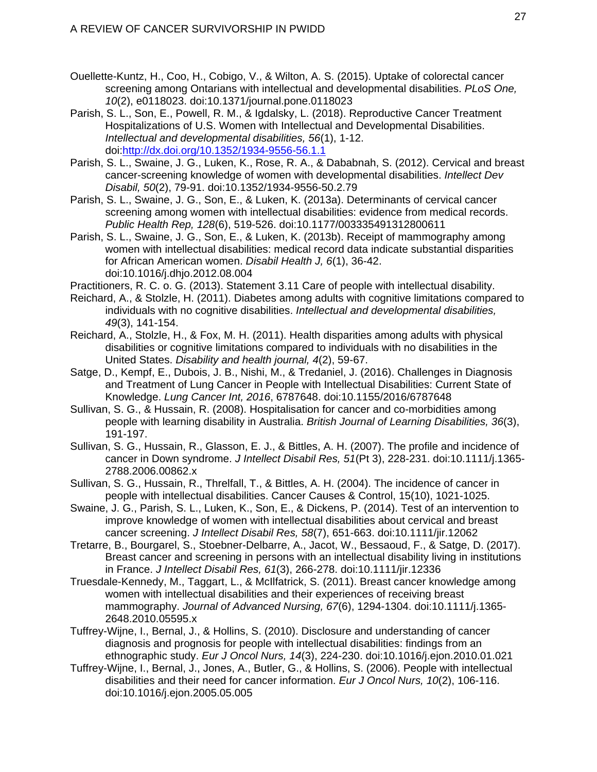- Ouellette-Kuntz, H., Coo, H., Cobigo, V., & Wilton, A. S. (2015). Uptake of colorectal cancer screening among Ontarians with intellectual and developmental disabilities. *PLoS One, 10*(2), e0118023. doi:10.1371/journal.pone.0118023
- Parish, S. L., Son, E., Powell, R. M., & Igdalsky, L. (2018). Reproductive Cancer Treatment Hospitalizations of U.S. Women with Intellectual and Developmental Disabilities. *Intellectual and developmental disabilities, 56*(1), 1-12. doi:http://dx.doi.org/10.1352/1934-9556-56.1.1
- Parish, S. L., Swaine, J. G., Luken, K., Rose, R. A., & Dababnah, S. (2012). Cervical and breast cancer-screening knowledge of women with developmental disabilities. *Intellect Dev Disabil, 50*(2), 79-91. doi:10.1352/1934-9556-50.2.79
- Parish, S. L., Swaine, J. G., Son, E., & Luken, K. (2013a). Determinants of cervical cancer screening among women with intellectual disabilities: evidence from medical records. *Public Health Rep, 128*(6), 519-526. doi:10.1177/003335491312800611
- Parish, S. L., Swaine, J. G., Son, E., & Luken, K. (2013b). Receipt of mammography among women with intellectual disabilities: medical record data indicate substantial disparities for African American women. *Disabil Health J, 6*(1), 36-42. doi:10.1016/j.dhjo.2012.08.004
- Practitioners, R. C. o. G. (2013). Statement 3.11 Care of people with intellectual disability.
- Reichard, A., & Stolzle, H. (2011). Diabetes among adults with cognitive limitations compared to individuals with no cognitive disabilities. *Intellectual and developmental disabilities, 49*(3), 141-154.
- Reichard, A., Stolzle, H., & Fox, M. H. (2011). Health disparities among adults with physical disabilities or cognitive limitations compared to individuals with no disabilities in the United States. *Disability and health journal, 4*(2), 59-67.
- Satge, D., Kempf, E., Dubois, J. B., Nishi, M., & Tredaniel, J. (2016). Challenges in Diagnosis and Treatment of Lung Cancer in People with Intellectual Disabilities: Current State of Knowledge. *Lung Cancer Int, 2016*, 6787648. doi:10.1155/2016/6787648
- Sullivan, S. G., & Hussain, R. (2008). Hospitalisation for cancer and co-morbidities among people with learning disability in Australia. *British Journal of Learning Disabilities, 36*(3), 191-197.
- Sullivan, S. G., Hussain, R., Glasson, E. J., & Bittles, A. H. (2007). The profile and incidence of cancer in Down syndrome. *J Intellect Disabil Res, 51*(Pt 3), 228-231. doi:10.1111/j.1365- 2788.2006.00862.x
- Sullivan, S. G., Hussain, R., Threlfall, T., & Bittles, A. H. (2004). The incidence of cancer in people with intellectual disabilities. Cancer Causes & Control, 15(10), 1021-1025.
- Swaine, J. G., Parish, S. L., Luken, K., Son, E., & Dickens, P. (2014). Test of an intervention to improve knowledge of women with intellectual disabilities about cervical and breast cancer screening. *J Intellect Disabil Res, 58*(7), 651-663. doi:10.1111/jir.12062
- Tretarre, B., Bourgarel, S., Stoebner-Delbarre, A., Jacot, W., Bessaoud, F., & Satge, D. (2017). Breast cancer and screening in persons with an intellectual disability living in institutions in France. *J Intellect Disabil Res, 61*(3), 266-278. doi:10.1111/jir.12336
- Truesdale-Kennedy, M., Taggart, L., & McIlfatrick, S. (2011). Breast cancer knowledge among women with intellectual disabilities and their experiences of receiving breast mammography. *Journal of Advanced Nursing, 67*(6), 1294-1304. doi:10.1111/j.1365- 2648.2010.05595.x
- Tuffrey-Wijne, I., Bernal, J., & Hollins, S. (2010). Disclosure and understanding of cancer diagnosis and prognosis for people with intellectual disabilities: findings from an ethnographic study. *Eur J Oncol Nurs, 14*(3), 224-230. doi:10.1016/j.ejon.2010.01.021
- Tuffrey-Wijne, I., Bernal, J., Jones, A., Butler, G., & Hollins, S. (2006). People with intellectual disabilities and their need for cancer information. *Eur J Oncol Nurs, 10*(2), 106-116. doi:10.1016/j.ejon.2005.05.005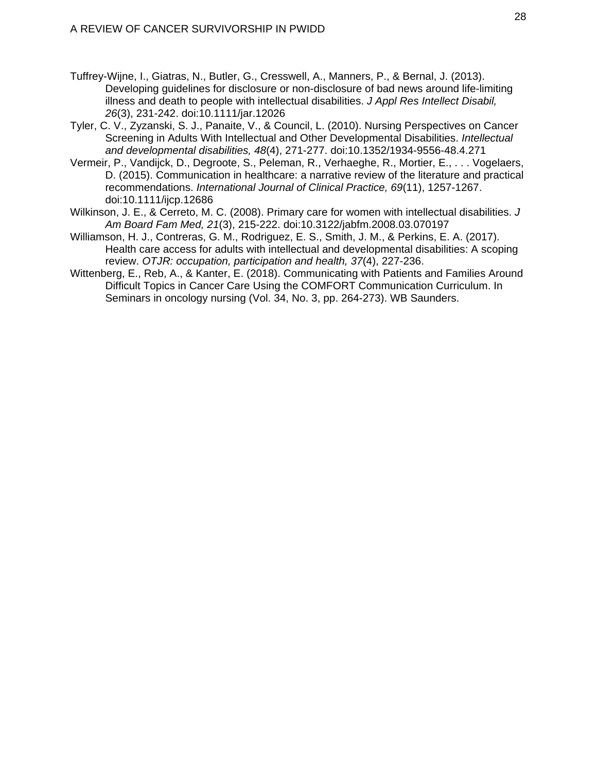- Tuffrey-Wijne, I., Giatras, N., Butler, G., Cresswell, A., Manners, P., & Bernal, J. (2013). Developing guidelines for disclosure or non-disclosure of bad news around life-limiting illness and death to people with intellectual disabilities. *J Appl Res Intellect Disabil, 26*(3), 231-242. doi:10.1111/jar.12026
- Tyler, C. V., Zyzanski, S. J., Panaite, V., & Council, L. (2010). Nursing Perspectives on Cancer Screening in Adults With Intellectual and Other Developmental Disabilities. *Intellectual and developmental disabilities, 48*(4), 271-277. doi:10.1352/1934-9556-48.4.271
- Vermeir, P., Vandijck, D., Degroote, S., Peleman, R., Verhaeghe, R., Mortier, E., . . . Vogelaers, D. (2015). Communication in healthcare: a narrative review of the literature and practical recommendations. *International Journal of Clinical Practice, 69*(11), 1257-1267. doi:10.1111/ijcp.12686
- Wilkinson, J. E., & Cerreto, M. C. (2008). Primary care for women with intellectual disabilities. *J Am Board Fam Med, 21*(3), 215-222. doi:10.3122/jabfm.2008.03.070197
- Williamson, H. J., Contreras, G. M., Rodriguez, E. S., Smith, J. M., & Perkins, E. A. (2017). Health care access for adults with intellectual and developmental disabilities: A scoping review. *OTJR: occupation, participation and health, 37*(4), 227-236.
- Wittenberg, E., Reb, A., & Kanter, E. (2018). Communicating with Patients and Families Around Difficult Topics in Cancer Care Using the COMFORT Communication Curriculum. In Seminars in oncology nursing (Vol. 34, No. 3, pp. 264-273). WB Saunders.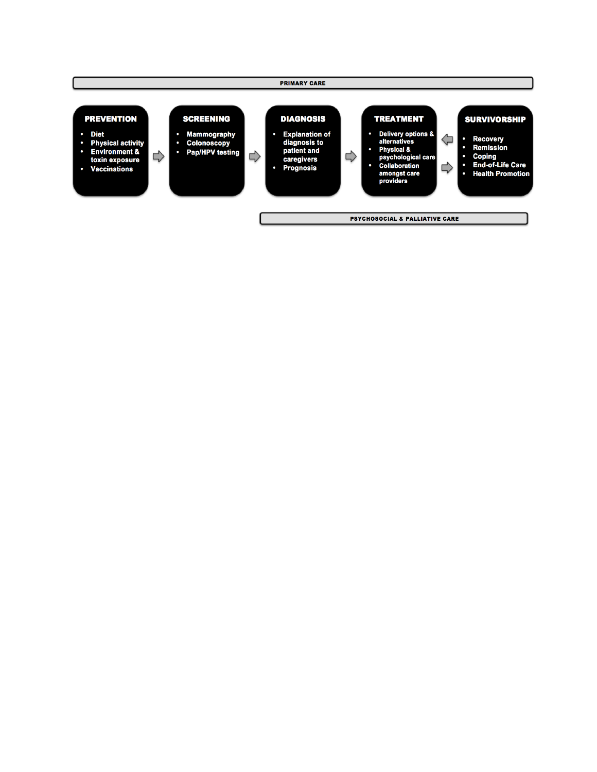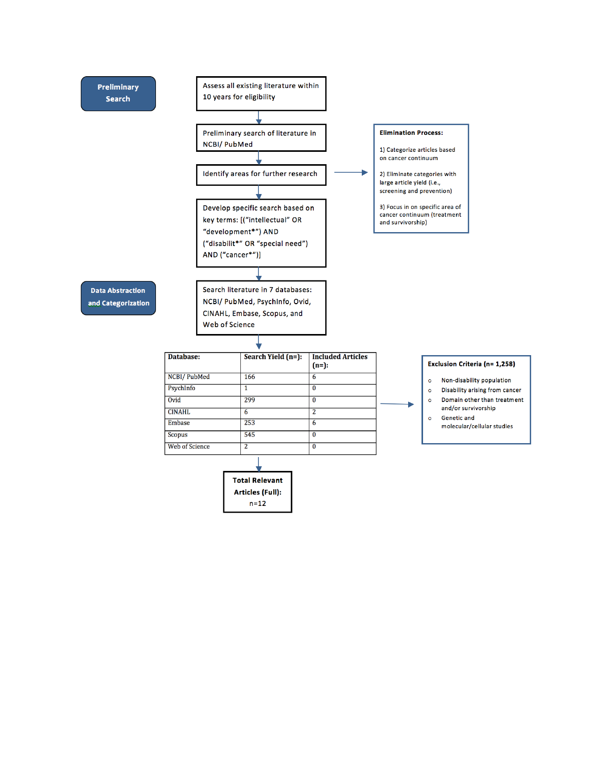